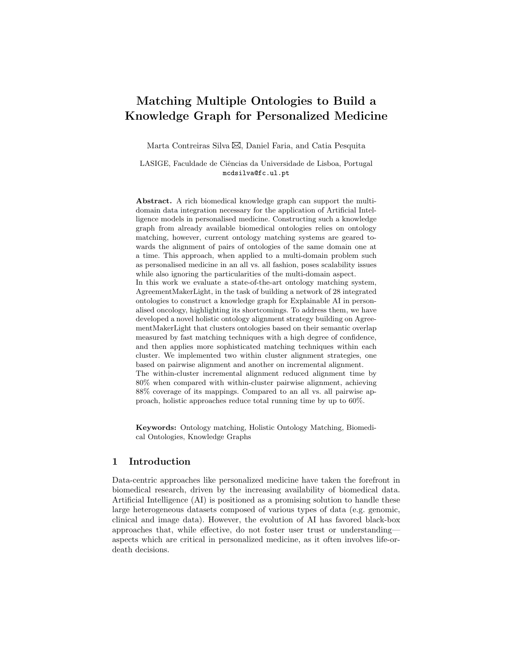# Matching Multiple Ontologies to Build a Knowledge Graph for Personalized Medicine

Marta Contreiras Silva  $\boxtimes$ , Daniel Faria, and Catia Pesquita

LASIGE, Faculdade de Ciˆencias da Universidade de Lisboa, Portugal mcdsilva@fc.ul.pt

Abstract. A rich biomedical knowledge graph can support the multidomain data integration necessary for the application of Artificial Intelligence models in personalised medicine. Constructing such a knowledge graph from already available biomedical ontologies relies on ontology matching, however, current ontology matching systems are geared towards the alignment of pairs of ontologies of the same domain one at a time. This approach, when applied to a multi-domain problem such as personalised medicine in an all vs. all fashion, poses scalability issues while also ignoring the particularities of the multi-domain aspect. In this work we evaluate a state-of-the-art ontology matching system, AgreementMakerLight, in the task of building a network of 28 integrated ontologies to construct a knowledge graph for Explainable AI in personalised oncology, highlighting its shortcomings. To address them, we have

developed a novel holistic ontology alignment strategy building on AgreementMakerLight that clusters ontologies based on their semantic overlap measured by fast matching techniques with a high degree of confidence, and then applies more sophisticated matching techniques within each cluster. We implemented two within cluster alignment strategies, one based on pairwise alignment and another on incremental alignment. The within-cluster incremental alignment reduced alignment time by 80% when compared with within-cluster pairwise alignment, achieving 88% coverage of its mappings. Compared to an all vs. all pairwise ap-

proach, holistic approaches reduce total running time by up to 60%.

Keywords: Ontology matching, Holistic Ontology Matching, Biomedical Ontologies, Knowledge Graphs

# 1 Introduction

Data-centric approaches like personalized medicine have taken the forefront in biomedical research, driven by the increasing availability of biomedical data. Artificial Intelligence (AI) is positioned as a promising solution to handle these large heterogeneous datasets composed of various types of data (e.g. genomic, clinical and image data). However, the evolution of AI has favored black-box approaches that, while effective, do not foster user trust or understanding aspects which are critical in personalized medicine, as it often involves life-ordeath decisions.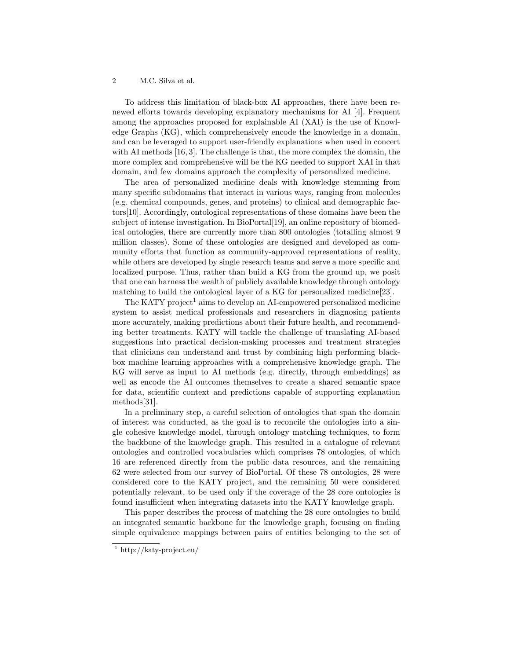### 2 M.C. Silva et al.

To address this limitation of black-box AI approaches, there have been renewed efforts towards developing explanatory mechanisms for AI [4]. Frequent among the approaches proposed for explainable AI (XAI) is the use of Knowledge Graphs (KG), which comprehensively encode the knowledge in a domain, and can be leveraged to support user-friendly explanations when used in concert with AI methods [16, 3]. The challenge is that, the more complex the domain, the more complex and comprehensive will be the KG needed to support XAI in that domain, and few domains approach the complexity of personalized medicine.

The area of personalized medicine deals with knowledge stemming from many specific subdomains that interact in various ways, ranging from molecules (e.g. chemical compounds, genes, and proteins) to clinical and demographic factors[10]. Accordingly, ontological representations of these domains have been the subject of intense investigation. In BioPortal[19], an online repository of biomedical ontologies, there are currently more than 800 ontologies (totalling almost 9 million classes). Some of these ontologies are designed and developed as community efforts that function as community-approved representations of reality, while others are developed by single research teams and serve a more specific and localized purpose. Thus, rather than build a KG from the ground up, we posit that one can harness the wealth of publicly available knowledge through ontology matching to build the ontological layer of a KG for personalized medicine[23].

The KATY project<sup>1</sup> aims to develop an AI-empowered personalized medicine system to assist medical professionals and researchers in diagnosing patients more accurately, making predictions about their future health, and recommending better treatments. KATY will tackle the challenge of translating AI-based suggestions into practical decision-making processes and treatment strategies that clinicians can understand and trust by combining high performing blackbox machine learning approaches with a comprehensive knowledge graph. The KG will serve as input to AI methods (e.g. directly, through embeddings) as well as encode the AI outcomes themselves to create a shared semantic space for data, scientific context and predictions capable of supporting explanation methods[31].

In a preliminary step, a careful selection of ontologies that span the domain of interest was conducted, as the goal is to reconcile the ontologies into a single cohesive knowledge model, through ontology matching techniques, to form the backbone of the knowledge graph. This resulted in a catalogue of relevant ontologies and controlled vocabularies which comprises 78 ontologies, of which 16 are referenced directly from the public data resources, and the remaining 62 were selected from our survey of BioPortal. Of these 78 ontologies, 28 were considered core to the KATY project, and the remaining 50 were considered potentially relevant, to be used only if the coverage of the 28 core ontologies is found insufficient when integrating datasets into the KATY knowledge graph.

This paper describes the process of matching the 28 core ontologies to build an integrated semantic backbone for the knowledge graph, focusing on finding simple equivalence mappings between pairs of entities belonging to the set of

<sup>1</sup> http://katy-project.eu/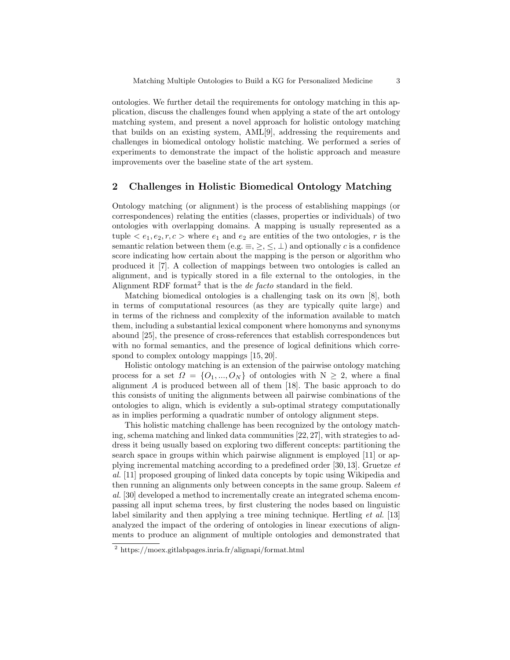ontologies. We further detail the requirements for ontology matching in this application, discuss the challenges found when applying a state of the art ontology matching system, and present a novel approach for holistic ontology matching that builds on an existing system, AML[9], addressing the requirements and challenges in biomedical ontology holistic matching. We performed a series of experiments to demonstrate the impact of the holistic approach and measure improvements over the baseline state of the art system.

## 2 Challenges in Holistic Biomedical Ontology Matching

Ontology matching (or alignment) is the process of establishing mappings (or correspondences) relating the entities (classes, properties or individuals) of two ontologies with overlapping domains. A mapping is usually represented as a tuple  $\langle e_1, e_2, r, c \rangle$  where  $e_1$  and  $e_2$  are entities of the two ontologies, r is the semantic relation between them (e.g.  $\equiv$ ,  $\geq$ ,  $\leq$ ,  $\perp$ ) and optionally c is a confidence score indicating how certain about the mapping is the person or algorithm who produced it [7]. A collection of mappings between two ontologies is called an alignment, and is typically stored in a file external to the ontologies, in the Alignment RDF format<sup>2</sup> that is the *de facto* standard in the field.

Matching biomedical ontologies is a challenging task on its own [8], both in terms of computational resources (as they are typically quite large) and in terms of the richness and complexity of the information available to match them, including a substantial lexical component where homonyms and synonyms abound [25], the presence of cross-references that establish correspondences but with no formal semantics, and the presence of logical definitions which correspond to complex ontology mappings  $[15, 20]$ .

Holistic ontology matching is an extension of the pairwise ontology matching process for a set  $\Omega = \{O_1, ..., O_N\}$  of ontologies with  $N \geq 2$ , where a final alignment A is produced between all of them [18]. The basic approach to do this consists of uniting the alignments between all pairwise combinations of the ontologies to align, which is evidently a sub-optimal strategy computationally as in implies performing a quadratic number of ontology alignment steps.

This holistic matching challenge has been recognized by the ontology matching, schema matching and linked data communities [22, 27], with strategies to address it being usually based on exploring two different concepts: partitioning the search space in groups within which pairwise alignment is employed [11] or applying incremental matching according to a predefined order [30, 13]. Gruetze et al. [11] proposed grouping of linked data concepts by topic using Wikipedia and then running an alignments only between concepts in the same group. Saleem et al. [30] developed a method to incrementally create an integrated schema encompassing all input schema trees, by first clustering the nodes based on linguistic label similarity and then applying a tree mining technique. Hertling *et al.* [13] analyzed the impact of the ordering of ontologies in linear executions of alignments to produce an alignment of multiple ontologies and demonstrated that

<sup>2</sup> https://moex.gitlabpages.inria.fr/alignapi/format.html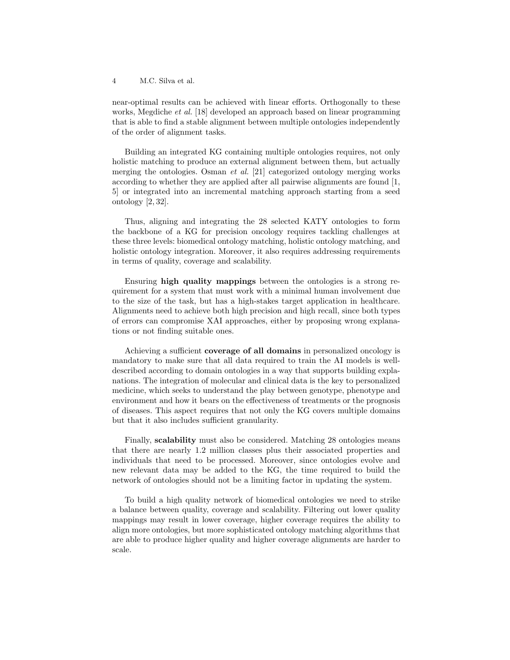near-optimal results can be achieved with linear efforts. Orthogonally to these works, Megdiche et al. [18] developed an approach based on linear programming that is able to find a stable alignment between multiple ontologies independently of the order of alignment tasks.

Building an integrated KG containing multiple ontologies requires, not only holistic matching to produce an external alignment between them, but actually merging the ontologies. Osman *et al.* [21] categorized ontology merging works according to whether they are applied after all pairwise alignments are found [1, 5] or integrated into an incremental matching approach starting from a seed ontology [2, 32].

Thus, aligning and integrating the 28 selected KATY ontologies to form the backbone of a KG for precision oncology requires tackling challenges at these three levels: biomedical ontology matching, holistic ontology matching, and holistic ontology integration. Moreover, it also requires addressing requirements in terms of quality, coverage and scalability.

Ensuring high quality mappings between the ontologies is a strong requirement for a system that must work with a minimal human involvement due to the size of the task, but has a high-stakes target application in healthcare. Alignments need to achieve both high precision and high recall, since both types of errors can compromise XAI approaches, either by proposing wrong explanations or not finding suitable ones.

Achieving a sufficient coverage of all domains in personalized oncology is mandatory to make sure that all data required to train the AI models is welldescribed according to domain ontologies in a way that supports building explanations. The integration of molecular and clinical data is the key to personalized medicine, which seeks to understand the play between genotype, phenotype and environment and how it bears on the effectiveness of treatments or the prognosis of diseases. This aspect requires that not only the KG covers multiple domains but that it also includes sufficient granularity.

Finally, scalability must also be considered. Matching 28 ontologies means that there are nearly 1.2 million classes plus their associated properties and individuals that need to be processed. Moreover, since ontologies evolve and new relevant data may be added to the KG, the time required to build the network of ontologies should not be a limiting factor in updating the system.

To build a high quality network of biomedical ontologies we need to strike a balance between quality, coverage and scalability. Filtering out lower quality mappings may result in lower coverage, higher coverage requires the ability to align more ontologies, but more sophisticated ontology matching algorithms that are able to produce higher quality and higher coverage alignments are harder to scale.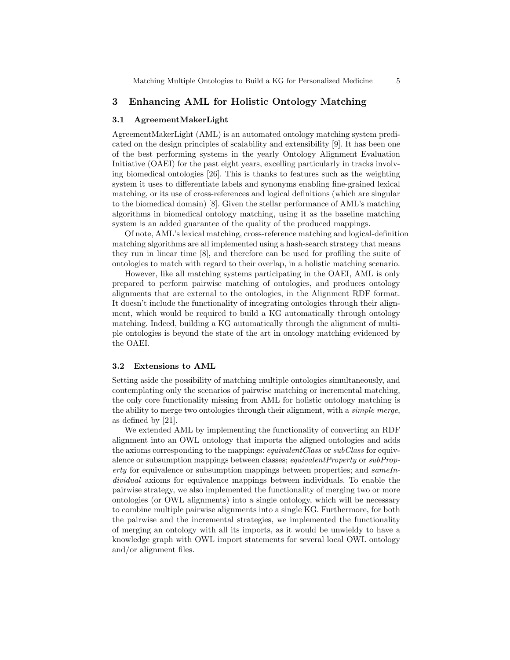# 3 Enhancing AML for Holistic Ontology Matching

### 3.1 AgreementMakerLight

AgreementMakerLight (AML) is an automated ontology matching system predicated on the design principles of scalability and extensibility [9]. It has been one of the best performing systems in the yearly Ontology Alignment Evaluation Initiative (OAEI) for the past eight years, excelling particularly in tracks involving biomedical ontologies [26]. This is thanks to features such as the weighting system it uses to differentiate labels and synonyms enabling fine-grained lexical matching, or its use of cross-references and logical definitions (which are singular to the biomedical domain) [8]. Given the stellar performance of AML's matching algorithms in biomedical ontology matching, using it as the baseline matching system is an added guarantee of the quality of the produced mappings.

Of note, AML's lexical matching, cross-reference matching and logical-definition matching algorithms are all implemented using a hash-search strategy that means they run in linear time [8], and therefore can be used for profiling the suite of ontologies to match with regard to their overlap, in a holistic matching scenario.

However, like all matching systems participating in the OAEI, AML is only prepared to perform pairwise matching of ontologies, and produces ontology alignments that are external to the ontologies, in the Alignment RDF format. It doesn't include the functionality of integrating ontologies through their alignment, which would be required to build a KG automatically through ontology matching. Indeed, building a KG automatically through the alignment of multiple ontologies is beyond the state of the art in ontology matching evidenced by the OAEI.

### 3.2 Extensions to AML

Setting aside the possibility of matching multiple ontologies simultaneously, and contemplating only the scenarios of pairwise matching or incremental matching, the only core functionality missing from AML for holistic ontology matching is the ability to merge two ontologies through their alignment, with a simple merge, as defined by [21].

We extended AML by implementing the functionality of converting an RDF alignment into an OWL ontology that imports the aligned ontologies and adds the axioms corresponding to the mappings: equivalentClass or subClass for equivalence or subsumption mappings between classes; equivalentProperty or subProperty for equivalence or subsumption mappings between properties; and sameIndividual axioms for equivalence mappings between individuals. To enable the pairwise strategy, we also implemented the functionality of merging two or more ontologies (or OWL alignments) into a single ontology, which will be necessary to combine multiple pairwise alignments into a single KG. Furthermore, for both the pairwise and the incremental strategies, we implemented the functionality of merging an ontology with all its imports, as it would be unwieldy to have a knowledge graph with OWL import statements for several local OWL ontology and/or alignment files.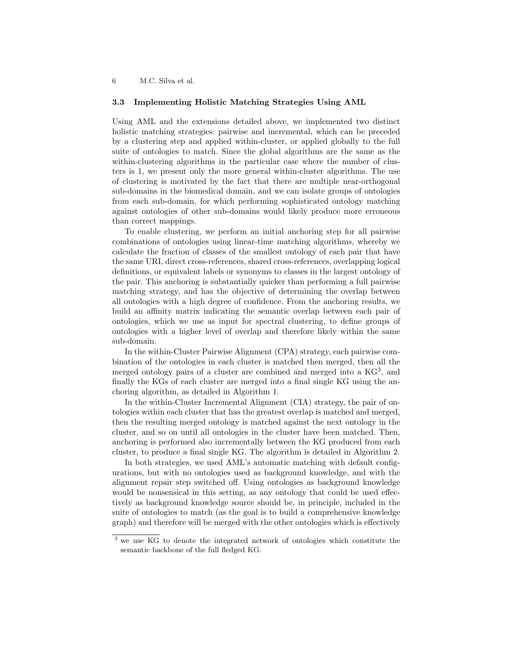### 3.3 Implementing Holistic Matching Strategies Using AML

Using AML and the extensions detailed above, we implemented two distinct holistic matching strategies: pairwise and incremental, which can be preceded by a clustering step and applied within-cluster, or applied globally to the full suite of ontologies to match. Since the global algorithms are the same as the within-clustering algorithms in the particular case where the number of clusters is 1, we present only the more general within-cluster algorithms. The use of clustering is motivated by the fact that there are multiple near-orthogonal sub-domains in the biomedical domain, and we can isolate groups of ontologies from each sub-domain, for which performing sophisticated ontology matching against ontologies of other sub-domains would likely produce more erroneous than correct mappings.

To enable clustering, we perform an initial anchoring step for all pairwise combinations of ontologies using linear-time matching algorithms, whereby we calculate the fraction of classes of the smallest ontology of each pair that have the same URI, direct cross-references, shared cross-references, overlapping logical definitions, or equivalent labels or synonyms to classes in the largest ontology of the pair. This anchoring is substantially quicker than performing a full pairwise matching strategy, and has the objective of determining the overlap between all ontologies with a high degree of confidence. From the anchoring results, we build an affinity matrix indicating the semantic overlap between each pair of ontologies, which we use as input for spectral clustering, to define groups of ontologies with a higher level of overlap and therefore likely within the same sub-domain.

In the within-Cluster Pairwise Alignment (CPA) strategy, each pairwise combination of the ontologies in each cluster is matched then merged, then all the merged ontology pairs of a cluster are combined and merged into a  $KG^3$ , and finally the KGs of each cluster are merged into a final single KG using the anchoring algorithm, as detailed in Algorithm 1.

In the within-Cluster Incremental Alignment (CIA) strategy, the pair of ontologies within each cluster that has the greatest overlap is matched and merged, then the resulting merged ontology is matched against the next ontology in the cluster, and so on until all ontologies in the cluster have been matched. Then, anchoring is performed also incrementally between the KG produced from each cluster, to produce a final single KG. The algorithm is detailed in Algorithm 2.

In both strategies, we used AML's automatic matching with default configurations, but with no ontologies used as background knowledge, and with the alignment repair step switched off. Using ontologies as background knowledge would be nonsensical in this setting, as any ontology that could be used effectively as background knowledge source should be, in principle, included in the suite of ontologies to match (as the goal is to build a comprehensive knowledge graph) and therefore will be merged with the other ontologies which is effectively

<sup>&</sup>lt;sup>3</sup> we use KG to denote the integrated network of ontologies which constitute the semantic backbone of the full fledged KG.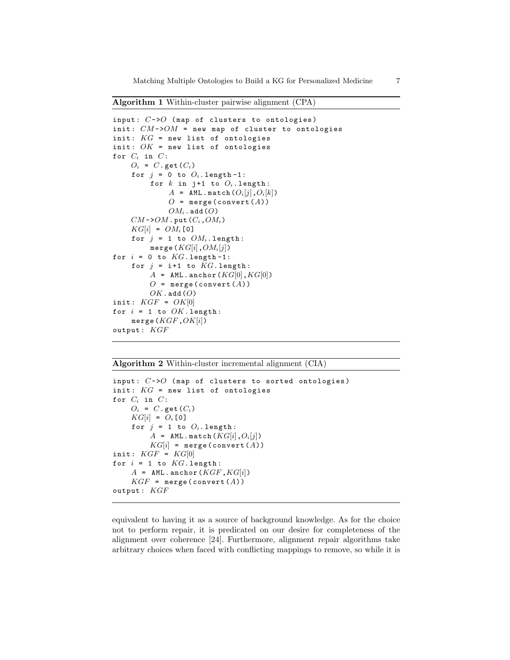Matching Multiple Ontologies to Build a KG for Personalized Medicine 7

Algorithm 1 Within-cluster pairwise alignment (CPA)

```
input: C \rightarrow O (map of clusters to ontologies)
init: CM->OM = new map of cluster to ontologies
init: KG = new list of ontologiesinit: OK = new list of ontologies
for C_i in C:
    O_i = C \cdot \text{get}(C_i)for j = 0 to O_i. length-1:
        for k in j+1 to O_i. length:
             A = AML \cdot match (O_i[j], O_i[k])O = merge (convert (A))
             OM_i. add (O)CM->OM.put (C_i,OM_i)KG[i] = OM_i [0]for j = 1 to OM_i. length:
        merge (KG[i],OM_i[j])for i = 0 to KG.length-1:
    for j = i+1 to KG. length:
        A = AML. anchor (KG[0], KG[0])O = merge(convert(A))OK. add(O)init: KGF = OK[0]for i = 1 to OK.length:
    merge (KGF, OK[i])output : KGF
```
Algorithm 2 Within-cluster incremental alignment (CIA)

```
input: C->O (map of clusters to sorted ontologies)
init: KG = new list of ontologiesfor C_i in C:
    O_i = C \cdot \text{get}(C_i)KG[i] = O_i[0]for j = 1 to O_i. length:
        A = AML \cdot match(KG[i], O_i[j])KG[i] = merge(convert(A))init: KGF = KG[0]for i = 1 to KG.length:A = AML. anchor (KGF, KG[i])KGF = merge(convert(A))output : KGF
```
equivalent to having it as a source of background knowledge. As for the choice not to perform repair, it is predicated on our desire for completeness of the alignment over coherence [24]. Furthermore, alignment repair algorithms take arbitrary choices when faced with conflicting mappings to remove, so while it is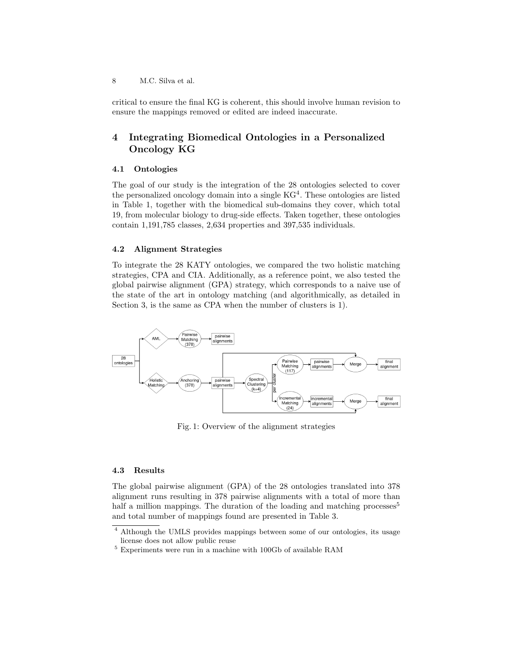critical to ensure the final KG is coherent, this should involve human revision to ensure the mappings removed or edited are indeed inaccurate.

# 4 Integrating Biomedical Ontologies in a Personalized Oncology KG

## 4.1 Ontologies

The goal of our study is the integration of the 28 ontologies selected to cover the personalized oncology domain into a single KG<sup>4</sup>. These ontologies are listed in Table 1, together with the biomedical sub-domains they cover, which total 19, from molecular biology to drug-side effects. Taken together, these ontologies contain 1,191,785 classes, 2,634 properties and 397,535 individuals.

### 4.2 Alignment Strategies

To integrate the 28 KATY ontologies, we compared the two holistic matching strategies, CPA and CIA. Additionally, as a reference point, we also tested the global pairwise alignment (GPA) strategy, which corresponds to a naive use of the state of the art in ontology matching (and algorithmically, as detailed in Section 3, is the same as CPA when the number of clusters is 1).



Fig. 1: Overview of the alignment strategies

#### 4.3 Results

The global pairwise alignment (GPA) of the 28 ontologies translated into 378 alignment runs resulting in 378 pairwise alignments with a total of more than half a million mappings. The duration of the loading and matching processes<sup>5</sup> and total number of mappings found are presented in Table 3.

<sup>4</sup> Although the UMLS provides mappings between some of our ontologies, its usage license does not allow public reuse

<sup>5</sup> Experiments were run in a machine with 100Gb of available RAM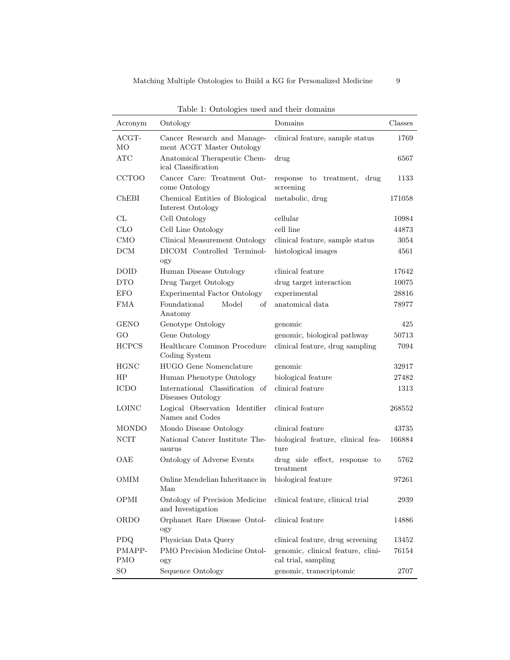| Acronym              | Ontology                                                 | Domains                                                  | Classes |
|----------------------|----------------------------------------------------------|----------------------------------------------------------|---------|
| $ACGT-$<br>MO        | Cancer Research and Manage-<br>ment ACGT Master Ontology | clinical feature, sample status                          | 1769    |
| ATC                  | Anatomical Therapeutic Chem-<br>ical Classification      | drug                                                     | 6567    |
| <b>CCTOO</b>         | Cancer Care: Treatment Out-<br>come Ontology             | response to<br>treatment,<br>drug<br>screening           | 1133    |
| ChEBI                | Chemical Entities of Biological<br>Interest Ontology     | metabolic, drug                                          | 171058  |
| CL                   | Cell Ontology                                            | cellular                                                 | 10984   |
| <b>CLO</b>           | Cell Line Ontology                                       | cell line                                                | 44873   |
| <b>CMO</b>           | Clinical Measurement Ontology                            | clinical feature, sample status                          | 3054    |
| DCM                  | DICOM Controlled Terminol-<br>ogy                        | histological images                                      | 4561    |
| DOID                 | Human Disease Ontology                                   | clinical feature                                         | 17642   |
| <b>DTO</b>           | Drug Target Ontology                                     | drug target interaction                                  | 10075   |
| EFO                  | <b>Experimental Factor Ontology</b>                      | experimental                                             | 28816   |
| FMA                  | Foundational<br>Model<br>of<br>Anatomy                   | anatomical data                                          | 78977   |
| <b>GENO</b>          | Genotype Ontology                                        | genomic                                                  | 425     |
| GO                   | Gene Ontology                                            | genomic, biological pathway                              | 50713   |
| <b>HCPCS</b>         | Healthcare Common Procedure<br>Coding System             | clinical feature, drug sampling                          | 7094    |
| HGNC                 | <b>HUGO Gene Nomenclature</b>                            | genomic                                                  | 32917   |
| HP                   | Human Phenotype Ontology                                 | biological feature                                       | 27482   |
| <b>ICDO</b>          | International Classification of<br>Diseases Ontology     | clinical feature                                         | 1313    |
| <b>LOINC</b>         | Logical Observation Identifier<br>Names and Codes        | clinical feature                                         | 268552  |
| <b>MONDO</b>         | Mondo Disease Ontology                                   | clinical feature                                         | 43735   |
| <b>NCIT</b>          | National Cancer Institute The-<br>saurus                 | biological feature, clinical fea-<br>ture                | 166884  |
| OAE                  | Ontology of Adverse Events                               | drug side effect, response to<br>treatment               | 5762    |
| OMIM                 | Online Mendelian Inheritance in<br>Man                   | biological feature                                       | 97261   |
| OPMI                 | Ontology of Precision Medicine<br>and Investigation      | clinical feature, clinical trial                         | 2939    |
| ORDO                 | Orphanet Rare Disease Ontol-<br>ogy                      | clinical feature                                         | 14886   |
| PDQ                  | Physician Data Query                                     | clinical feature, drug screening                         | 13452   |
| PMAPP-<br><b>PMO</b> | PMO Precision Medicine Ontol-<br>ogy                     | genomic, clinical feature, clini-<br>cal trial, sampling | 76154   |
| SO                   | Sequence Ontology                                        | genomic, transcriptomic                                  | 2707    |

Table 1: Ontologies used and their domains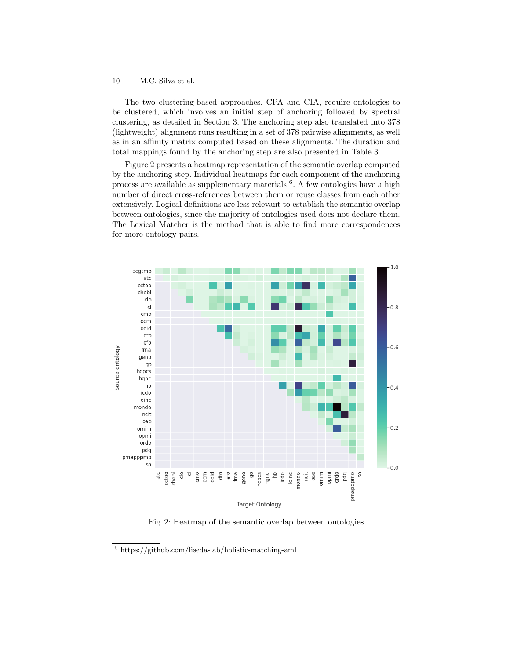10 M.C. Silva et al.

The two clustering-based approaches, CPA and CIA, require ontologies to be clustered, which involves an initial step of anchoring followed by spectral clustering, as detailed in Section 3. The anchoring step also translated into 378 (lightweight) alignment runs resulting in a set of 378 pairwise alignments, as well as in an affinity matrix computed based on these alignments. The duration and total mappings found by the anchoring step are also presented in Table 3.

Figure 2 presents a heatmap representation of the semantic overlap computed by the anchoring step. Individual heatmaps for each component of the anchoring process are available as supplementary materials <sup>6</sup>. A few ontologies have a high number of direct cross-references between them or reuse classes from each other extensively. Logical definitions are less relevant to establish the semantic overlap between ontologies, since the majority of ontologies used does not declare them. The Lexical Matcher is the method that is able to find more correspondences for more ontology pairs.



Fig. 2: Heatmap of the semantic overlap between ontologies

<sup>6</sup> https://github.com/liseda-lab/holistic-matching-aml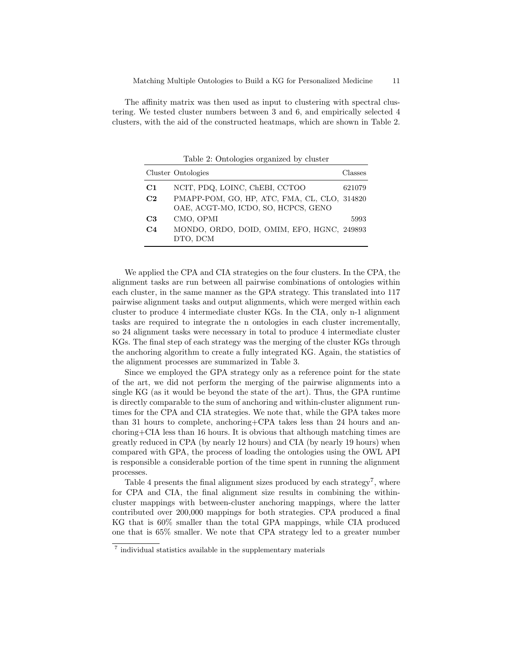The affinity matrix was then used as input to clustering with spectral clustering. We tested cluster numbers between 3 and 6, and empirically selected 4 clusters, with the aid of the constructed heatmaps, which are shown in Table 2.

Table 2: Ontologies organized by cluster

| Cluster Ontologies |                                                                                     |        |
|--------------------|-------------------------------------------------------------------------------------|--------|
| C1                 | NCIT, PDQ, LOINC, ChEBI, CCTOO                                                      | 621079 |
| C2                 | PMAPP-POM, GO, HP, ATC, FMA, CL, CLO, 314820<br>OAE, ACGT-MO, ICDO, SO, HCPCS, GENO |        |
| C <sub>3</sub>     | CMO, OPMI                                                                           | 5993   |
| C <sub>4</sub>     | MONDO, ORDO, DOID, OMIM, EFO, HGNC, 249893<br>DTO, DCM                              |        |

We applied the CPA and CIA strategies on the four clusters. In the CPA, the alignment tasks are run between all pairwise combinations of ontologies within each cluster, in the same manner as the GPA strategy. This translated into 117 pairwise alignment tasks and output alignments, which were merged within each cluster to produce 4 intermediate cluster KGs. In the CIA, only n-1 alignment tasks are required to integrate the n ontologies in each cluster incrementally, so 24 alignment tasks were necessary in total to produce 4 intermediate cluster KGs. The final step of each strategy was the merging of the cluster KGs through the anchoring algorithm to create a fully integrated KG. Again, the statistics of the alignment processes are summarized in Table 3.

Since we employed the GPA strategy only as a reference point for the state of the art, we did not perform the merging of the pairwise alignments into a single KG (as it would be beyond the state of the art). Thus, the GPA runtime is directly comparable to the sum of anchoring and within-cluster alignment runtimes for the CPA and CIA strategies. We note that, while the GPA takes more than 31 hours to complete, anchoring+CPA takes less than 24 hours and anchoring+CIA less than 16 hours. It is obvious that although matching times are greatly reduced in CPA (by nearly 12 hours) and CIA (by nearly 19 hours) when compared with GPA, the process of loading the ontologies using the OWL API is responsible a considerable portion of the time spent in running the alignment processes.

Table 4 presents the final alignment sizes produced by each strategy<sup>7</sup>, where for CPA and CIA, the final alignment size results in combining the withincluster mappings with between-cluster anchoring mappings, where the latter contributed over 200,000 mappings for both strategies. CPA produced a final KG that is 60% smaller than the total GPA mappings, while CIA produced one that is 65% smaller. We note that CPA strategy led to a greater number

<sup>7</sup> individual statistics available in the supplementary materials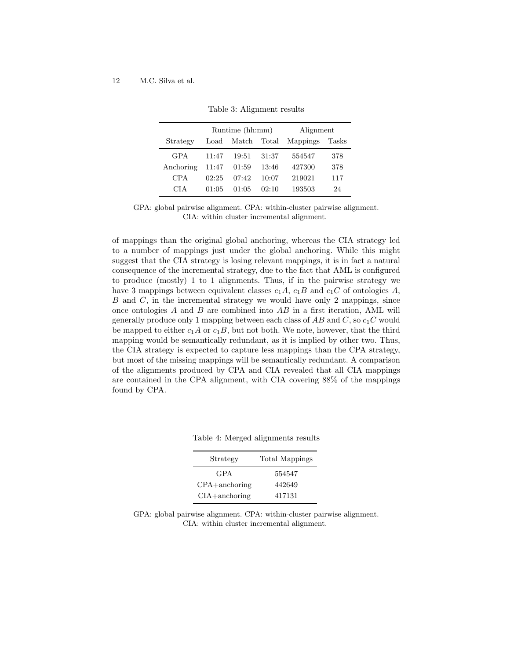|           | Runtime (hh:mm) |                  |       | Alignment |       |
|-----------|-----------------|------------------|-------|-----------|-------|
| Strategy  |                 | Load Match Total |       | Mappings  | Tasks |
| GPA.      | 11:47           | 19:51            | 31:37 | 554547    | 378   |
| Anchoring |                 | $11:47$ $01:59$  | 13:46 | 427300    | 378   |
| CPA.      | 02:25           | 07:42            | 10:07 | 219021    | 117   |
| CI A      | 01:05           | 01:05            | 02:10 | 193503    | 24    |

Table 3: Alignment results

GPA: global pairwise alignment. CPA: within-cluster pairwise alignment. CIA: within cluster incremental alignment.

of mappings than the original global anchoring, whereas the CIA strategy led to a number of mappings just under the global anchoring. While this might suggest that the CIA strategy is losing relevant mappings, it is in fact a natural consequence of the incremental strategy, due to the fact that AML is configured to produce (mostly) 1 to 1 alignments. Thus, if in the pairwise strategy we have 3 mappings between equivalent classes  $c_1A$ ,  $c_1B$  and  $c_1C$  of ontologies A, B and C, in the incremental strategy we would have only 2 mappings, since once ontologies  $A$  and  $B$  are combined into  $AB$  in a first iteration, AML will generally produce only 1 mapping between each class of  $AB$  and  $C$ , so  $c_1C$  would be mapped to either  $c_1A$  or  $c_1B$ , but not both. We note, however, that the third mapping would be semantically redundant, as it is implied by other two. Thus, the CIA strategy is expected to capture less mappings than the CPA strategy, but most of the missing mappings will be semantically redundant. A comparison of the alignments produced by CPA and CIA revealed that all CIA mappings are contained in the CPA alignment, with CIA covering 88% of the mappings found by CPA.

Table 4: Merged alignments results

| Strategy               | Total Mappings |
|------------------------|----------------|
| <b>GPA</b>             | 554547         |
| $CPA + \nanchoring$    | 442649         |
| $CIA + \rm{anchoring}$ | 417131         |

GPA: global pairwise alignment. CPA: within-cluster pairwise alignment. CIA: within cluster incremental alignment.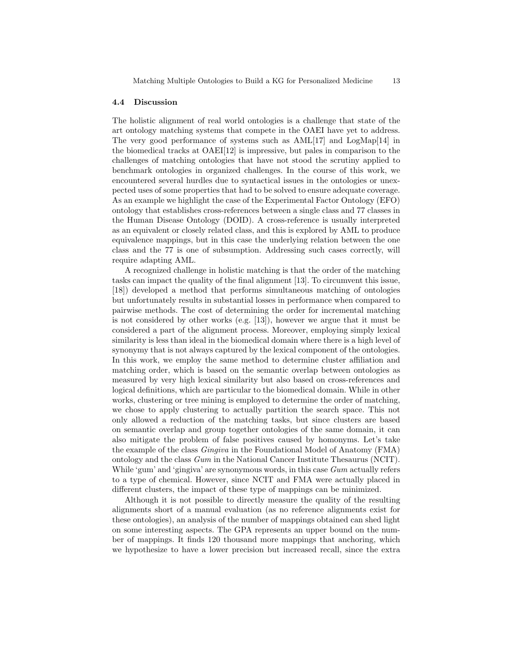### 4.4 Discussion

The holistic alignment of real world ontologies is a challenge that state of the art ontology matching systems that compete in the OAEI have yet to address. The very good performance of systems such as AML[17] and LogMap[14] in the biomedical tracks at OAEI[12] is impressive, but pales in comparison to the challenges of matching ontologies that have not stood the scrutiny applied to benchmark ontologies in organized challenges. In the course of this work, we encountered several hurdles due to syntactical issues in the ontologies or unexpected uses of some properties that had to be solved to ensure adequate coverage. As an example we highlight the case of the Experimental Factor Ontology (EFO) ontology that establishes cross-references between a single class and 77 classes in the Human Disease Ontology (DOID). A cross-reference is usually interpreted as an equivalent or closely related class, and this is explored by AML to produce equivalence mappings, but in this case the underlying relation between the one class and the 77 is one of subsumption. Addressing such cases correctly, will require adapting AML.

A recognized challenge in holistic matching is that the order of the matching tasks can impact the quality of the final alignment [13]. To circumvent this issue, [18]) developed a method that performs simultaneous matching of ontologies but unfortunately results in substantial losses in performance when compared to pairwise methods. The cost of determining the order for incremental matching is not considered by other works (e.g. [13]), however we argue that it must be considered a part of the alignment process. Moreover, employing simply lexical similarity is less than ideal in the biomedical domain where there is a high level of synonymy that is not always captured by the lexical component of the ontologies. In this work, we employ the same method to determine cluster affiliation and matching order, which is based on the semantic overlap between ontologies as measured by very high lexical similarity but also based on cross-references and logical definitions, which are particular to the biomedical domain. While in other works, clustering or tree mining is employed to determine the order of matching, we chose to apply clustering to actually partition the search space. This not only allowed a reduction of the matching tasks, but since clusters are based on semantic overlap and group together ontologies of the same domain, it can also mitigate the problem of false positives caused by homonyms. Let's take the example of the class Gingiva in the Foundational Model of Anatomy (FMA) ontology and the class Gum in the National Cancer Institute Thesaurus (NCIT). While 'gum' and 'gingiva' are synonymous words, in this case Gum actually refers to a type of chemical. However, since NCIT and FMA were actually placed in different clusters, the impact of these type of mappings can be minimized.

Although it is not possible to directly measure the quality of the resulting alignments short of a manual evaluation (as no reference alignments exist for these ontologies), an analysis of the number of mappings obtained can shed light on some interesting aspects. The GPA represents an upper bound on the number of mappings. It finds 120 thousand more mappings that anchoring, which we hypothesize to have a lower precision but increased recall, since the extra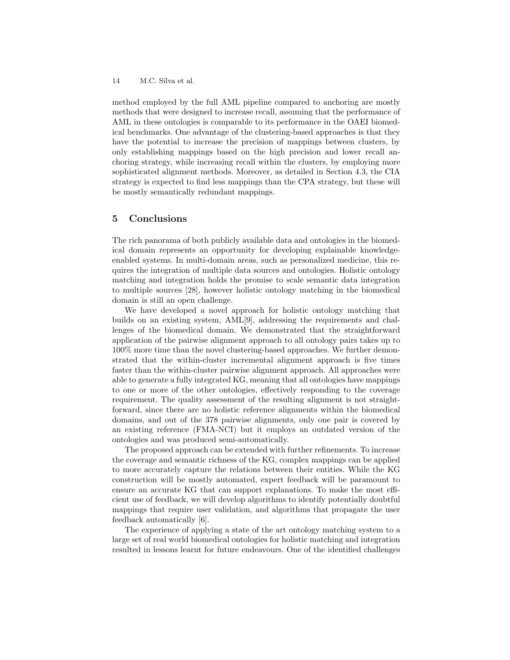14 M.C. Silva et al.

method employed by the full AML pipeline compared to anchoring are mostly methods that were designed to increase recall, assuming that the performance of AML in these ontologies is comparable to its performance in the OAEI biomedical benchmarks. One advantage of the clustering-based approaches is that they have the potential to increase the precision of mappings between clusters, by only establishing mappings based on the high precision and lower recall anchoring strategy, while increasing recall within the clusters, by employing more sophisticated alignment methods. Moreover, as detailed in Section 4.3, the CIA strategy is expected to find less mappings than the CPA strategy, but these will be mostly semantically redundant mappings.

# 5 Conclusions

The rich panorama of both publicly available data and ontologies in the biomedical domain represents an opportunity for developing explainable knowledgeenabled systems. In multi-domain areas, such as personalized medicine, this requires the integration of multiple data sources and ontologies. Holistic ontology matching and integration holds the promise to scale semantic data integration to multiple sources [28], however holistic ontology matching in the biomedical domain is still an open challenge.

We have developed a novel approach for holistic ontology matching that builds on an existing system, AML[9], addressing the requirements and challenges of the biomedical domain. We demonstrated that the straightforward application of the pairwise alignment approach to all ontology pairs takes up to 100% more time than the novel clustering-based approaches. We further demonstrated that the within-cluster incremental alignment approach is five times faster than the within-cluster pairwise alignment approach. All approaches were able to generate a fully integrated KG, meaning that all ontologies have mappings to one or more of the other ontologies, effectively responding to the coverage requirement. The quality assessment of the resulting alignment is not straightforward, since there are no holistic reference alignments within the biomedical domains, and out of the 378 pairwise alignments, only one pair is covered by an existing reference (FMA-NCI) but it employs an outdated version of the ontologies and was produced semi-automatically.

The proposed approach can be extended with further refinements. To increase the coverage and semantic richness of the KG, complex mappings can be applied to more accurately capture the relations between their entities. While the KG construction will be mostly automated, expert feedback will be paramount to ensure an accurate KG that can support explanations. To make the most efficient use of feedback, we will develop algorithms to identify potentially doubtful mappings that require user validation, and algorithms that propagate the user feedback automatically [6].

The experience of applying a state of the art ontology matching system to a large set of real world biomedical ontologies for holistic matching and integration resulted in lessons learnt for future endeavours. One of the identified challenges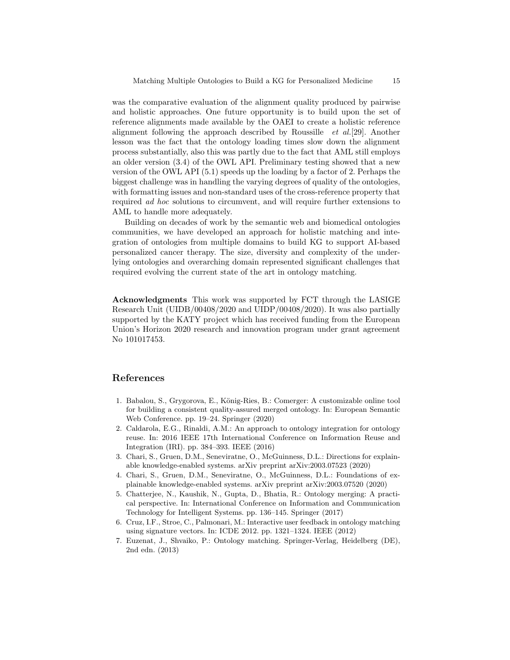was the comparative evaluation of the alignment quality produced by pairwise and holistic approaches. One future opportunity is to build upon the set of reference alignments made available by the OAEI to create a holistic reference alignment following the approach described by Roussille et al.[29]. Another lesson was the fact that the ontology loading times slow down the alignment process substantially, also this was partly due to the fact that AML still employs an older version (3.4) of the OWL API. Preliminary testing showed that a new version of the OWL API (5.1) speeds up the loading by a factor of 2. Perhaps the biggest challenge was in handling the varying degrees of quality of the ontologies, with formatting issues and non-standard uses of the cross-reference property that required ad hoc solutions to circumvent, and will require further extensions to AML to handle more adequately.

Building on decades of work by the semantic web and biomedical ontologies communities, we have developed an approach for holistic matching and integration of ontologies from multiple domains to build KG to support AI-based personalized cancer therapy. The size, diversity and complexity of the underlying ontologies and overarching domain represented significant challenges that required evolving the current state of the art in ontology matching.

Acknowledgments This work was supported by FCT through the LASIGE Research Unit (UIDB/00408/2020 and UIDP/00408/2020). It was also partially supported by the KATY project which has received funding from the European Union's Horizon 2020 research and innovation program under grant agreement No 101017453.

# References

- 1. Babalou, S., Grygorova, E., K¨onig-Ries, B.: Comerger: A customizable online tool for building a consistent quality-assured merged ontology. In: European Semantic Web Conference. pp. 19–24. Springer (2020)
- 2. Caldarola, E.G., Rinaldi, A.M.: An approach to ontology integration for ontology reuse. In: 2016 IEEE 17th International Conference on Information Reuse and Integration (IRI). pp. 384–393. IEEE (2016)
- 3. Chari, S., Gruen, D.M., Seneviratne, O., McGuinness, D.L.: Directions for explainable knowledge-enabled systems. arXiv preprint arXiv:2003.07523 (2020)
- 4. Chari, S., Gruen, D.M., Seneviratne, O., McGuinness, D.L.: Foundations of explainable knowledge-enabled systems. arXiv preprint arXiv:2003.07520 (2020)
- 5. Chatterjee, N., Kaushik, N., Gupta, D., Bhatia, R.: Ontology merging: A practical perspective. In: International Conference on Information and Communication Technology for Intelligent Systems. pp. 136–145. Springer (2017)
- 6. Cruz, I.F., Stroe, C., Palmonari, M.: Interactive user feedback in ontology matching using signature vectors. In: ICDE 2012. pp. 1321–1324. IEEE (2012)
- 7. Euzenat, J., Shvaiko, P.: Ontology matching. Springer-Verlag, Heidelberg (DE), 2nd edn. (2013)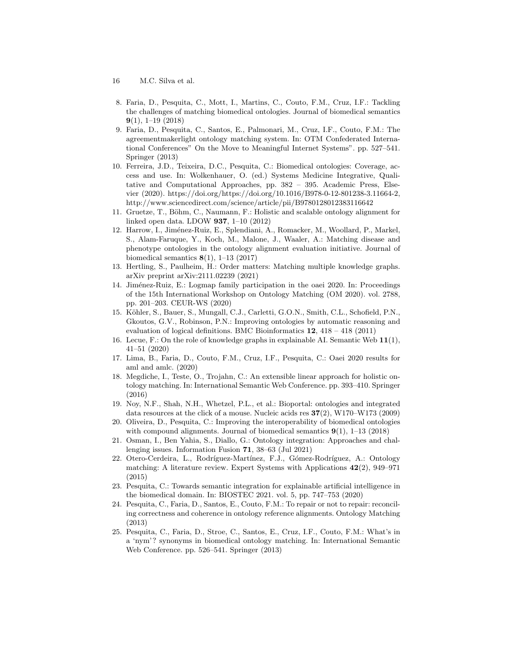- 16 M.C. Silva et al.
- 8. Faria, D., Pesquita, C., Mott, I., Martins, C., Couto, F.M., Cruz, I.F.: Tackling the challenges of matching biomedical ontologies. Journal of biomedical semantics  $9(1)$ , 1–19 (2018)
- 9. Faria, D., Pesquita, C., Santos, E., Palmonari, M., Cruz, I.F., Couto, F.M.: The agreementmakerlight ontology matching system. In: OTM Confederated International Conferences" On the Move to Meaningful Internet Systems". pp. 527–541. Springer (2013)
- 10. Ferreira, J.D., Teixeira, D.C., Pesquita, C.: Biomedical ontologies: Coverage, access and use. In: Wolkenhauer, O. (ed.) Systems Medicine Integrative, Qualitative and Computational Approaches, pp. 382 – 395. Academic Press, Elsevier (2020). https://doi.org/https://doi.org/10.1016/B978-0-12-801238-3.11664-2, http://www.sciencedirect.com/science/article/pii/B9780128012383116642
- 11. Gruetze, T., Böhm, C., Naumann, F.: Holistic and scalable ontology alignment for linked open data. LDOW 937, 1–10 (2012)
- 12. Harrow, I., Jiménez-Ruiz, E., Splendiani, A., Romacker, M., Woollard, P., Markel, S., Alam-Faruque, Y., Koch, M., Malone, J., Waaler, A.: Matching disease and phenotype ontologies in the ontology alignment evaluation initiative. Journal of biomedical semantics  $8(1)$ , 1–13 (2017)
- 13. Hertling, S., Paulheim, H.: Order matters: Matching multiple knowledge graphs. arXiv preprint arXiv:2111.02239 (2021)
- 14. Jim´enez-Ruiz, E.: Logmap family participation in the oaei 2020. In: Proceedings of the 15th International Workshop on Ontology Matching (OM 2020). vol. 2788, pp. 201–203. CEUR-WS (2020)
- 15. Köhler, S., Bauer, S., Mungall, C.J., Carletti, G.O.N., Smith, C.L., Schofield, P.N., Gkoutos, G.V., Robinson, P.N.: Improving ontologies by automatic reasoning and evaluation of logical definitions. BMC Bioinformatics 12, 418 – 418 (2011)
- 16. Lecue, F.: On the role of knowledge graphs in explainable AI. Semantic Web 11(1), 41–51 (2020)
- 17. Lima, B., Faria, D., Couto, F.M., Cruz, I.F., Pesquita, C.: Oaei 2020 results for aml and amlc. (2020)
- 18. Megdiche, I., Teste, O., Trojahn, C.: An extensible linear approach for holistic ontology matching. In: International Semantic Web Conference. pp. 393–410. Springer (2016)
- 19. Noy, N.F., Shah, N.H., Whetzel, P.L., et al.: Bioportal: ontologies and integrated data resources at the click of a mouse. Nucleic acids res  $37(2)$ , W170–W173 (2009)
- 20. Oliveira, D., Pesquita, C.: Improving the interoperability of biomedical ontologies with compound alignments. Journal of biomedical semantics  $9(1)$ , 1–13 (2018)
- 21. Osman, I., Ben Yahia, S., Diallo, G.: Ontology integration: Approaches and challenging issues. Information Fusion 71, 38–63 (Jul 2021)
- 22. Otero-Cerdeira, L., Rodríguez-Martínez, F.J., Gómez-Rodríguez, A.: Ontology matching: A literature review. Expert Systems with Applications 42(2), 949–971 (2015)
- 23. Pesquita, C.: Towards semantic integration for explainable artificial intelligence in the biomedical domain. In: BIOSTEC 2021. vol. 5, pp. 747–753 (2020)
- 24. Pesquita, C., Faria, D., Santos, E., Couto, F.M.: To repair or not to repair: reconciling correctness and coherence in ontology reference alignments. Ontology Matching (2013)
- 25. Pesquita, C., Faria, D., Stroe, C., Santos, E., Cruz, I.F., Couto, F.M.: What's in a 'nym'? synonyms in biomedical ontology matching. In: International Semantic Web Conference. pp. 526–541. Springer (2013)